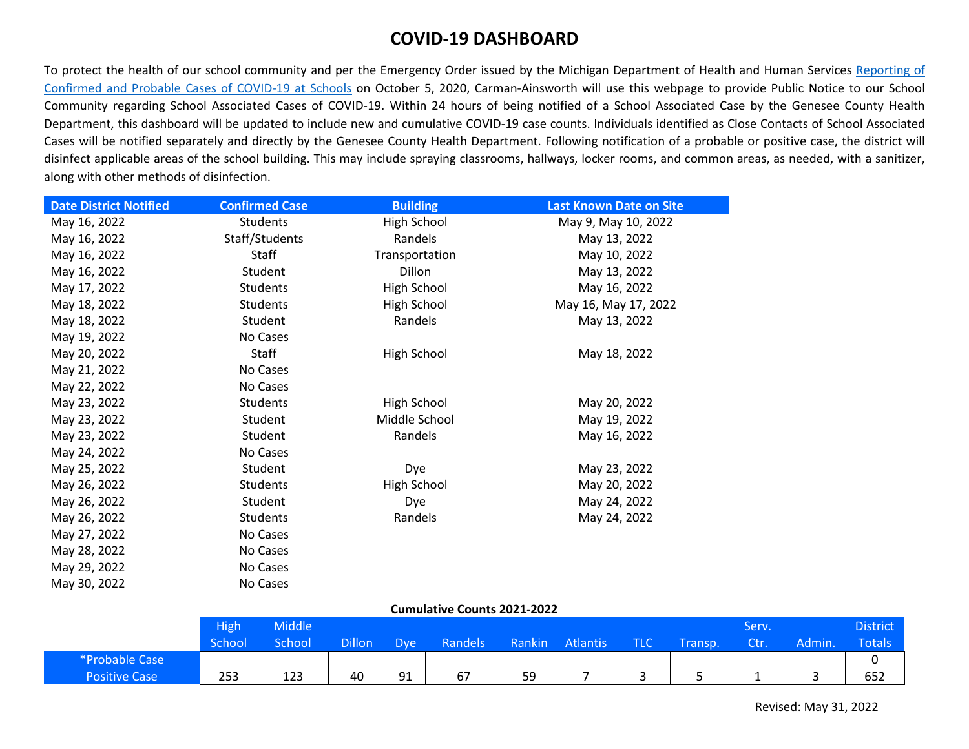## **COVID-19 DASHBOARD**

To protect the health of our school community and per the Emergency Order issued by the Michigan Department of Health and Human Services [Reporting of](https://www.michigan.gov/documents/coronavirus/MDHHS_epidemic_order_-_school_reporting_of_covid19_infections_-_10-6-20_704340_7.pdf)  [Confirmed and Probable Cases of COVID-19 at Schools](https://www.michigan.gov/documents/coronavirus/MDHHS_epidemic_order_-_school_reporting_of_covid19_infections_-_10-6-20_704340_7.pdf) on October 5, 2020, Carman-Ainsworth will use this webpage to provide Public Notice to our School Community regarding School Associated Cases of COVID-19. Within 24 hours of being notified of a School Associated Case by the Genesee County Health Department, this dashboard will be updated to include new and cumulative COVID-19 case counts. Individuals identified as Close Contacts of School Associated Cases will be notified separately and directly by the Genesee County Health Department. Following notification of a probable or positive case, the district will disinfect applicable areas of the school building. This may include spraying classrooms, hallways, locker rooms, and common areas, as needed, with a sanitizer, along with other methods of disinfection.

| <b>Date District Notified</b> | <b>Confirmed Case</b> | <b>Building</b> | <b>Last Known Date on Site</b> |
|-------------------------------|-----------------------|-----------------|--------------------------------|
| May 16, 2022                  | Students              | High School     | May 9, May 10, 2022            |
| May 16, 2022                  | Staff/Students        | Randels         | May 13, 2022                   |
| May 16, 2022                  | Staff                 | Transportation  | May 10, 2022                   |
| May 16, 2022                  | Student               | Dillon          | May 13, 2022                   |
| May 17, 2022                  | Students              | High School     | May 16, 2022                   |
| May 18, 2022                  | Students              | High School     | May 16, May 17, 2022           |
| May 18, 2022                  | Student               | Randels         | May 13, 2022                   |
| May 19, 2022                  | No Cases              |                 |                                |
| May 20, 2022                  | Staff                 | High School     | May 18, 2022                   |
| May 21, 2022                  | No Cases              |                 |                                |
| May 22, 2022                  | No Cases              |                 |                                |
| May 23, 2022                  | <b>Students</b>       | High School     | May 20, 2022                   |
| May 23, 2022                  | Student               | Middle School   | May 19, 2022                   |
| May 23, 2022                  | Student               | Randels         | May 16, 2022                   |
| May 24, 2022                  | No Cases              |                 |                                |
| May 25, 2022                  | Student               | Dye             | May 23, 2022                   |
| May 26, 2022                  | <b>Students</b>       | High School     | May 20, 2022                   |
| May 26, 2022                  | Student               | Dye             | May 24, 2022                   |
| May 26, 2022                  | Students              | Randels         | May 24, 2022                   |
| May 27, 2022                  | No Cases              |                 |                                |
| May 28, 2022                  | No Cases              |                 |                                |
| May 29, 2022                  | No Cases              |                 |                                |
| May 30, 2022                  | No Cases              |                 |                                |

## **Cumulative Counts 2021-2022**

|                      | <b>High</b> | <b>Middle</b> |                     |            |                |        |          |            |         | Serv. |        | District      |
|----------------------|-------------|---------------|---------------------|------------|----------------|--------|----------|------------|---------|-------|--------|---------------|
|                      | School      | School        | Dillon <sup>1</sup> | <b>Dye</b> | <b>Randels</b> | Rankin | Atlantis | <b>TLC</b> | Transp. | Ctr.  | Admin. | <b>Totals</b> |
| *Probable Case       |             |               |                     |            |                |        |          |            |         |       |        |               |
| <b>Positive Case</b> | 253         | 123           | 40                  | 91         | 67             | 59     |          |            |         |       |        | 652           |